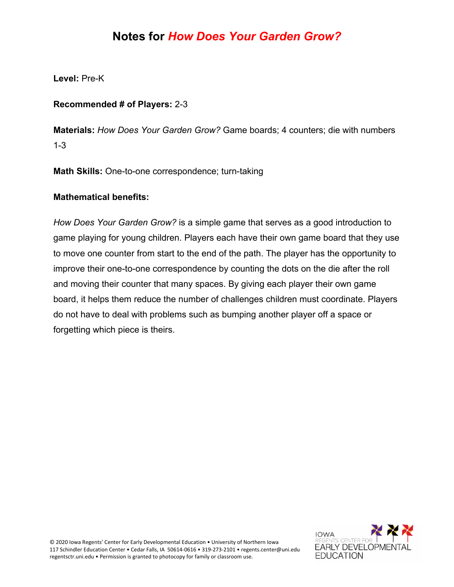### **Notes for** *How Does Your Garden Grow?*

**Level:** Pre-K

#### **Recommended # of Players:** 2-3

**Materials:** *How Does Your Garden Grow?* Game boards; 4 counters; die with numbers 1-3

**Math Skills:** One-to-one correspondence; turn-taking

#### **Mathematical benefits:**

*How Does Your Garden Grow?* is a simple game that serves as a good introduction to game playing for young children. Players each have their own game board that they use to move one counter from start to the end of the path. The player has the opportunity to improve their one-to-one correspondence by counting the dots on the die after the roll and moving their counter that many spaces. By giving each player their own game board, it helps them reduce the number of challenges children must coordinate. Players do not have to deal with problems such as bumping another player off a space or forgetting which piece is theirs.

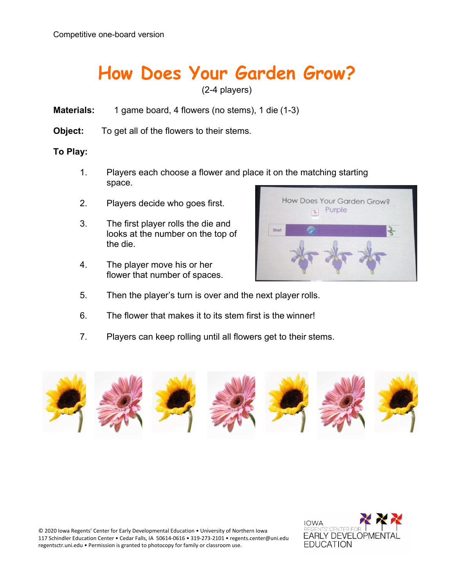### **How Does Your Garden Grow?**

(2-4 players)

- **Materials:** 1 game board, 4 flowers (no stems), 1 die (1-3)
- **Object:** To get all of the flowers to their stems.

#### **To Play:**

- 1. Players each choose a flower and place it on the matching starting space.
- 2. Players decide who goes first.
- 3. The first player rolls the die and looks at the number on the top of the die.
- 4. The player move his or her flower that number of spaces.



- 5. Then the player's turn is over and the next player rolls.
- 6. The flower that makes it to its stem first is the winner!
- 7. Players can keep rolling until all flowers get to their stems.



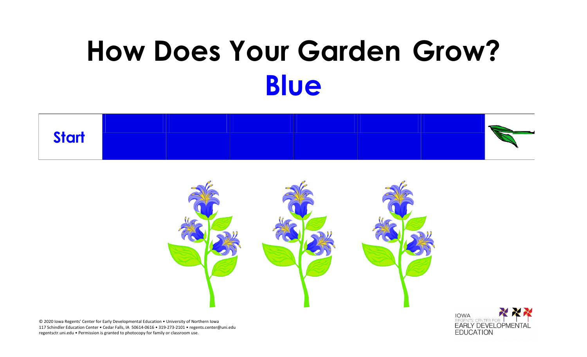### **How Does Your Garden Grow? Blue**





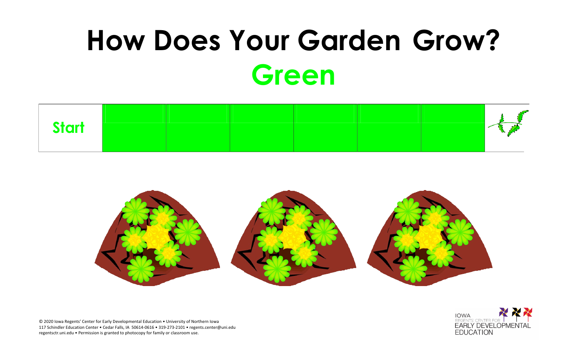## **How Does Your Garden Grow? Green**





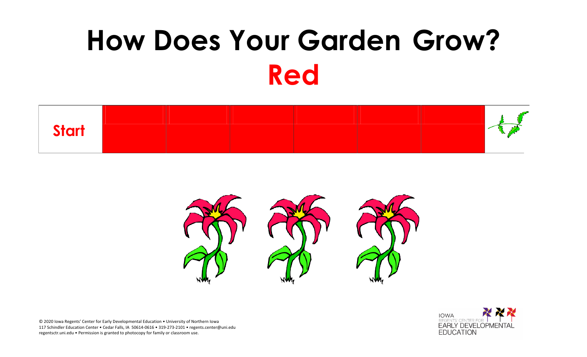# **How Does Your Garden Grow? Red**